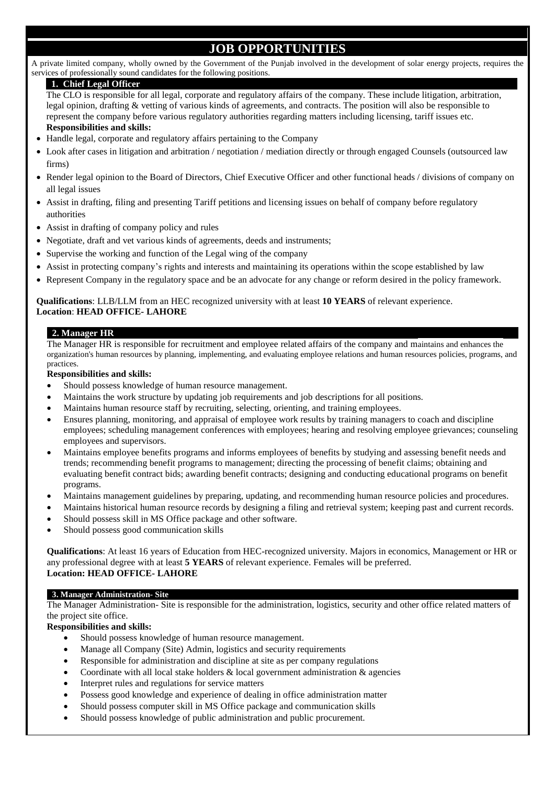# **JOB OPPORTUNITIES**

A private limited company, wholly owned by the Government of the Punjab involved in the development of solar energy projects, requires the services of professionally sound candidates for the following positions.

#### **1. Chief Legal Officer**

The CLO is responsible for all legal, corporate and regulatory affairs of the company. These include litigation, arbitration, legal opinion, drafting & vetting of various kinds of agreements, and contracts. The position will also be responsible to represent the company before various regulatory authorities regarding matters including licensing, tariff issues etc. **Responsibilities and skills:** 

- Handle legal, corporate and regulatory affairs pertaining to the Company
- Look after cases in litigation and arbitration / negotiation / mediation directly or through engaged Counsels (outsourced law firms)
- Render legal opinion to the Board of Directors, Chief Executive Officer and other functional heads / divisions of company on all legal issues
- Assist in drafting, filing and presenting Tariff petitions and licensing issues on behalf of company before regulatory authorities
- Assist in drafting of company policy and rules
- Negotiate, draft and vet various kinds of agreements, deeds and instruments;
- Supervise the working and function of the Legal wing of the company
- Assist in protecting company's rights and interests and maintaining its operations within the scope established by law
- Represent Company in the regulatory space and be an advocate for any change or reform desired in the policy framework.

**Qualifications**: LLB/LLM from an HEC recognized university with at least **10 YEARS** of relevant experience. **Location**: **HEAD OFFICE- LAHORE**

### **2. Manager HR**

The Manager HR is responsible for recruitment and employee related affairs of the company and maintains and enhances the organization's human resources by planning, implementing, and evaluating employee relations and human resources policies, programs, and practices.

#### **Responsibilities and skills:**

- Should possess knowledge of human resource management.
- Maintains the work structure by updating job requirements and job descriptions for all positions.
- Maintains human resource staff by recruiting, selecting, orienting, and training employees.
- Ensures planning, monitoring, and appraisal of employee work results by training managers to coach and discipline employees; scheduling management conferences with employees; hearing and resolving employee grievances; counseling employees and supervisors.
- Maintains employee benefits programs and informs employees of benefits by studying and assessing benefit needs and trends; recommending benefit programs to management; directing the processing of benefit claims; obtaining and evaluating benefit contract bids; awarding benefit contracts; designing and conducting educational programs on benefit programs.
- Maintains management guidelines by preparing, updating, and recommending human resource policies and procedures.
- Maintains historical human resource records by designing a filing and retrieval system; keeping past and current records.
- Should possess skill in MS Office package and other software.
- Should possess good communication skills

**Qualifications**: At least 16 years of Education from HEC-recognized university. Majors in economics, Management or HR or any professional degree with at least **5 YEARS** of relevant experience. Females will be preferred. **Location: HEAD OFFICE- LAHORE**

#### **3. Manager Administration- Site**

The Manager Administration- Site is responsible for the administration, logistics, security and other office related matters of the project site office.

**Responsibilities and skills:** 

- Should possess knowledge of human resource management.
- Manage all Company (Site) Admin, logistics and security requirements
- Responsible for administration and discipline at site as per company regulations
- Coordinate with all local stake holders  $&$  local government administration  $&$  agencies
- Interpret rules and regulations for service matters
- Possess good knowledge and experience of dealing in office administration matter
- Should possess computer skill in MS Office package and communication skills
- Should possess knowledge of public administration and public procurement.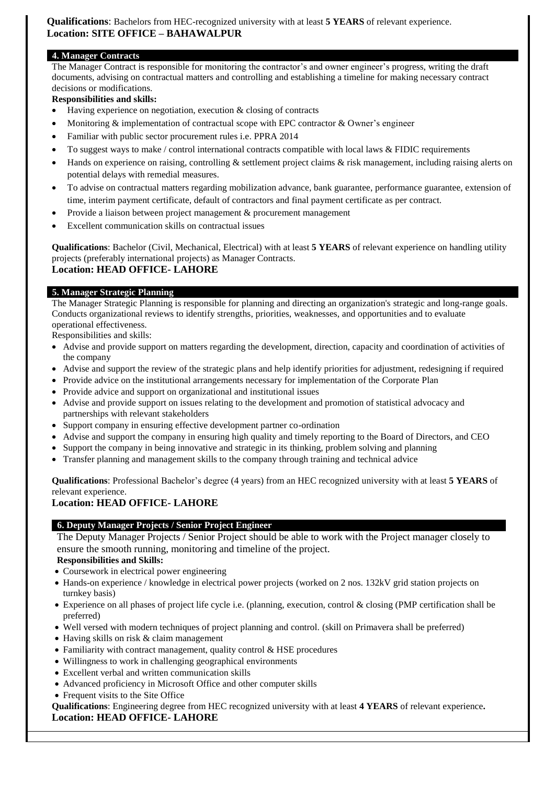**Qualifications**: Bachelors from HEC-recognized university with at least **5 YEARS** of relevant experience. **Location: SITE OFFICE – BAHAWALPUR**

## **4. Manager Contracts**

The Manager Contract is responsible for monitoring the contractor's and owner engineer's progress, writing the draft documents, advising on contractual matters and controlling and establishing a timeline for making necessary contract decisions or modifications.

## **Responsibilities and skills:**

- Having experience on negotiation, execution & closing of contracts
- Monitoring  $\&$  implementation of contractual scope with EPC contractor  $\&$  Owner's engineer
- Familiar with public sector procurement rules i.e. PPRA 2014
- To suggest ways to make / control international contracts compatible with local laws & FIDIC requirements
- Hands on experience on raising, controlling  $&$  settlement project claims  $&$  risk management, including raising alerts on potential delays with remedial measures.
- To advise on contractual matters regarding mobilization advance, bank guarantee, performance guarantee, extension of time, interim payment certificate, default of contractors and final payment certificate as per contract.
- Provide a liaison between project management & procurement management
- Excellent communication skills on contractual issues

**Qualifications**: Bachelor (Civil, Mechanical, Electrical) with at least **5 YEARS** of relevant experience on handling utility projects (preferably international projects) as Manager Contracts. **Location: HEAD OFFICE- LAHORE**

### **5. Manager Strategic Planning**

The Manager Strategic Planning is responsible for planning and directing an organization's strategic and long-range goals. Conducts organizational reviews to identify strengths, priorities, weaknesses, and opportunities and to evaluate operational effectiveness.

Responsibilities and skills:

- Advise and provide support on matters regarding the development, direction, capacity and coordination of activities of the company
- Advise and support the review of the strategic plans and help identify priorities for adjustment, redesigning if required
- Provide advice on the institutional arrangements necessary for implementation of the Corporate Plan
- Provide advice and support on organizational and institutional issues
- Advise and provide support on issues relating to the development and promotion of statistical advocacy and partnerships with relevant stakeholders
- Support company in ensuring effective development partner co-ordination
- Advise and support the company in ensuring high quality and timely reporting to the Board of Directors, and CEO
- Support the company in being innovative and strategic in its thinking, problem solving and planning
- Transfer planning and management skills to the company through training and technical advice

**Qualifications**: Professional Bachelor's degree (4 years) from an HEC recognized university with at least **5 YEARS** of relevant experience.

# **Location: HEAD OFFICE- LAHORE**

## **6. Deputy Manager Projects / Senior Project Engineer**

The Deputy Manager Projects / Senior Project should be able to work with the Project manager closely to ensure the smooth running, monitoring and timeline of the project.

**Responsibilities and Skills:** 

- Coursework in electrical power engineering
- Hands-on experience / knowledge in electrical power projects (worked on 2 nos. 132kV grid station projects on turnkey basis)
- Experience on all phases of project life cycle i.e. (planning, execution, control & closing (PMP certification shall be preferred)
- Well versed with modern techniques of project planning and control. (skill on Primavera shall be preferred)
- Having skills on risk & claim management
- Familiarity with contract management, quality control & HSE procedures
- Willingness to work in challenging geographical environments
- Excellent verbal and written communication skills
- Advanced proficiency in Microsoft Office and other computer skills
- Frequent visits to the Site Office

**Qualifications**: Engineering degree from HEC recognized university with at least **4 YEARS** of relevant experience**. Location: HEAD OFFICE- LAHORE**